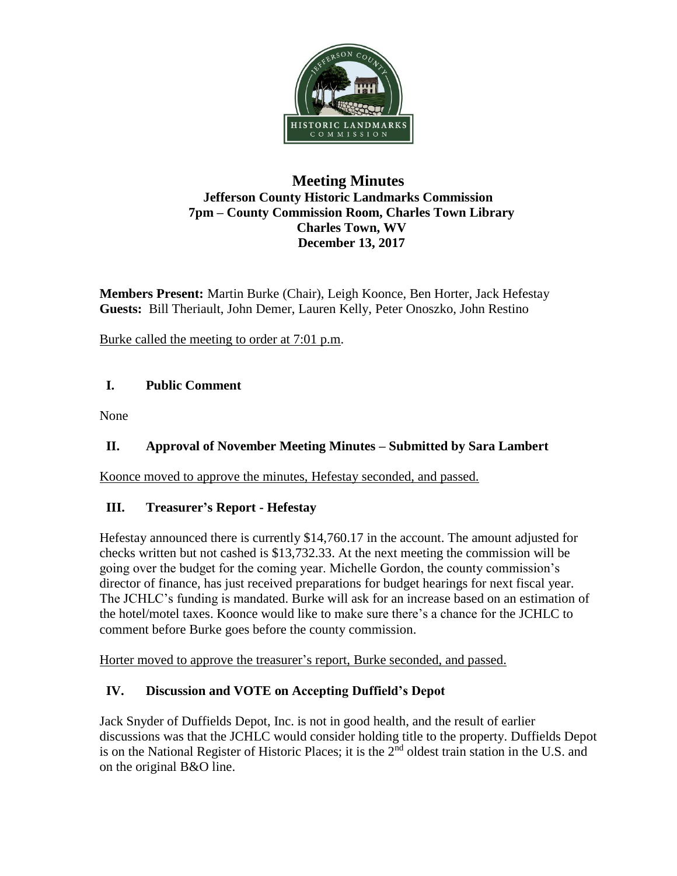

### **Meeting Minutes Jefferson County Historic Landmarks Commission 7pm – County Commission Room, Charles Town Library Charles Town, WV December 13, 2017**

**Members Present:** Martin Burke (Chair), Leigh Koonce, Ben Horter, Jack Hefestay **Guests:** Bill Theriault, John Demer, Lauren Kelly, Peter Onoszko, John Restino

Burke called the meeting to order at 7:01 p.m.

## **I. Public Comment**

None

# **II. Approval of November Meeting Minutes – Submitted by Sara Lambert**

Koonce moved to approve the minutes, Hefestay seconded, and passed.

## **III. Treasurer's Report - Hefestay**

Hefestay announced there is currently \$14,760.17 in the account. The amount adjusted for checks written but not cashed is \$13,732.33. At the next meeting the commission will be going over the budget for the coming year. Michelle Gordon, the county commission's director of finance, has just received preparations for budget hearings for next fiscal year. The JCHLC's funding is mandated. Burke will ask for an increase based on an estimation of the hotel/motel taxes. Koonce would like to make sure there's a chance for the JCHLC to comment before Burke goes before the county commission.

Horter moved to approve the treasurer's report, Burke seconded, and passed.

# **IV. Discussion and VOTE on Accepting Duffield's Depot**

Jack Snyder of Duffields Depot, Inc. is not in good health, and the result of earlier discussions was that the JCHLC would consider holding title to the property. Duffields Depot is on the National Register of Historic Places; it is the 2<sup>nd</sup> oldest train station in the U.S. and on the original B&O line.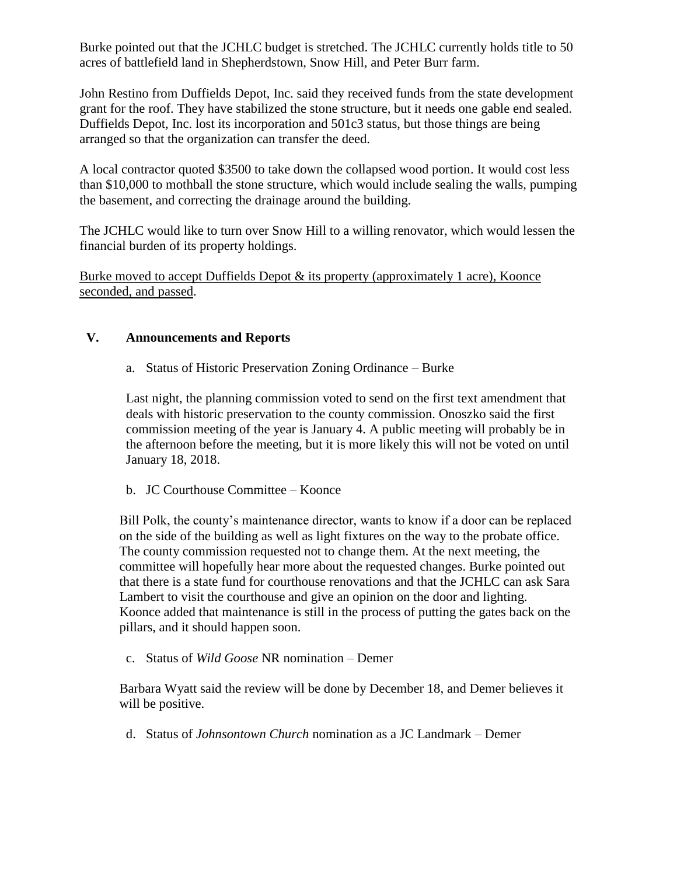Burke pointed out that the JCHLC budget is stretched. The JCHLC currently holds title to 50 acres of battlefield land in Shepherdstown, Snow Hill, and Peter Burr farm.

John Restino from Duffields Depot, Inc. said they received funds from the state development grant for the roof. They have stabilized the stone structure, but it needs one gable end sealed. Duffields Depot, Inc. lost its incorporation and 501c3 status, but those things are being arranged so that the organization can transfer the deed.

A local contractor quoted \$3500 to take down the collapsed wood portion. It would cost less than \$10,000 to mothball the stone structure, which would include sealing the walls, pumping the basement, and correcting the drainage around the building.

The JCHLC would like to turn over Snow Hill to a willing renovator, which would lessen the financial burden of its property holdings.

Burke moved to accept Duffields Depot & its property (approximately 1 acre), Koonce seconded, and passed.

#### **V. Announcements and Reports**

a. Status of Historic Preservation Zoning Ordinance – Burke

Last night, the planning commission voted to send on the first text amendment that deals with historic preservation to the county commission. Onoszko said the first commission meeting of the year is January 4. A public meeting will probably be in the afternoon before the meeting, but it is more likely this will not be voted on until January 18, 2018.

b. JC Courthouse Committee – Koonce

Bill Polk, the county's maintenance director, wants to know if a door can be replaced on the side of the building as well as light fixtures on the way to the probate office. The county commission requested not to change them. At the next meeting, the committee will hopefully hear more about the requested changes. Burke pointed out that there is a state fund for courthouse renovations and that the JCHLC can ask Sara Lambert to visit the courthouse and give an opinion on the door and lighting. Koonce added that maintenance is still in the process of putting the gates back on the pillars, and it should happen soon.

c. Status of *Wild Goose* NR nomination – Demer

Barbara Wyatt said the review will be done by December 18, and Demer believes it will be positive.

d. Status of *Johnsontown Church* nomination as a JC Landmark – Demer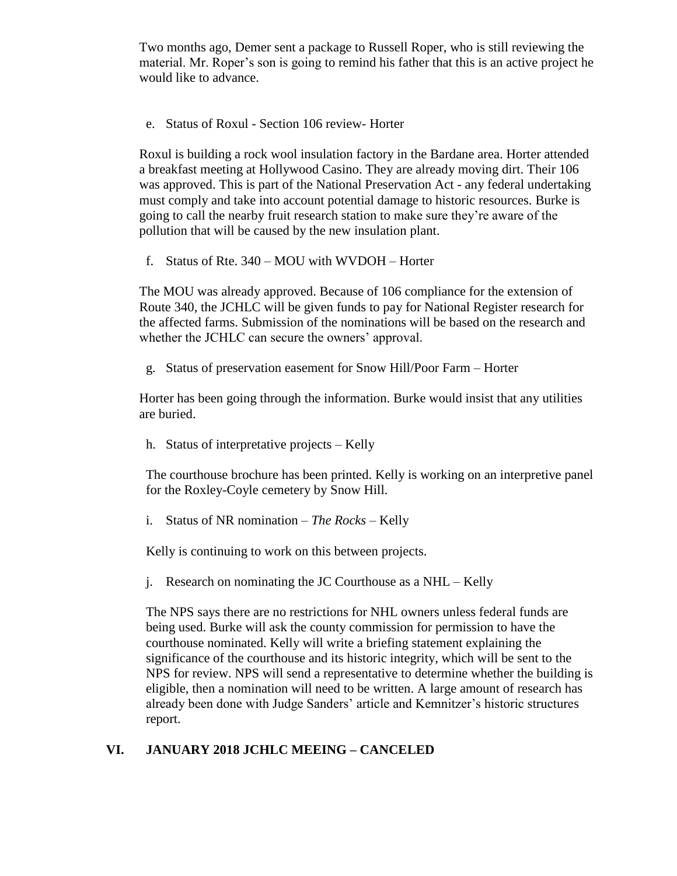Two months ago, Demer sent a package to Russell Roper, who is still reviewing the material. Mr. Roper's son is going to remind his father that this is an active project he would like to advance.

e. Status of Roxul - Section 106 review- Horter

Roxul is building a rock wool insulation factory in the Bardane area. Horter attended a breakfast meeting at Hollywood Casino. They are already moving dirt. Their 106 was approved. This is part of the National Preservation Act - any federal undertaking must comply and take into account potential damage to historic resources. Burke is going to call the nearby fruit research station to make sure they're aware of the pollution that will be caused by the new insulation plant.

f. Status of Rte. 340 – MOU with WVDOH – Horter

The MOU was already approved. Because of 106 compliance for the extension of Route 340, the JCHLC will be given funds to pay for National Register research for the affected farms. Submission of the nominations will be based on the research and whether the JCHLC can secure the owners' approval.

g. Status of preservation easement for Snow Hill/Poor Farm – Horter

Horter has been going through the information. Burke would insist that any utilities are buried.

h. Status of interpretative projects – Kelly

The courthouse brochure has been printed. Kelly is working on an interpretive panel for the Roxley-Coyle cemetery by Snow Hill.

i. Status of NR nomination – *The Rocks –* Kelly

Kelly is continuing to work on this between projects.

j. Research on nominating the JC Courthouse as a NHL – Kelly

The NPS says there are no restrictions for NHL owners unless federal funds are being used. Burke will ask the county commission for permission to have the courthouse nominated. Kelly will write a briefing statement explaining the significance of the courthouse and its historic integrity, which will be sent to the NPS for review. NPS will send a representative to determine whether the building is eligible, then a nomination will need to be written. A large amount of research has already been done with Judge Sanders' article and Kemnitzer's historic structures report.

#### **VI. JANUARY 2018 JCHLC MEEING – CANCELED**